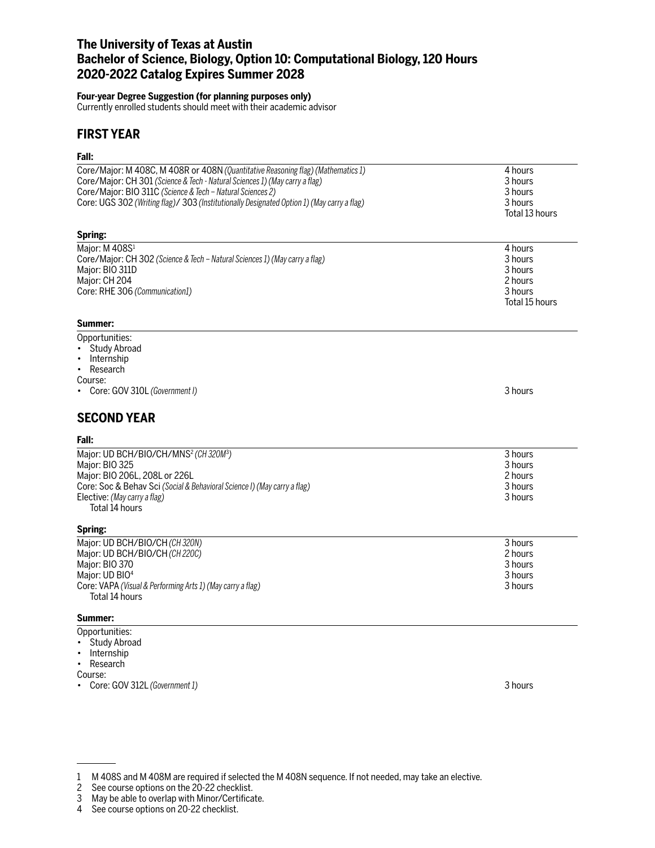# **The University of Texas at Austin Bachelor of Science, Biology, Option 10: Computational Biology, 120 Hours 2020-2022 Catalog Expires Summer 2028**

### **Four-year Degree Suggestion (for planning purposes only)**

Currently enrolled students should meet with their academic advisor

# **FIRST YEAR**

## **Fall:**

| ган.                                                                                                                                                                                                                                                                                                                        |                                                                       |
|-----------------------------------------------------------------------------------------------------------------------------------------------------------------------------------------------------------------------------------------------------------------------------------------------------------------------------|-----------------------------------------------------------------------|
| Core/Major: M 408C, M 408R or 408N (Quantitative Reasoning flag) (Mathematics 1)<br>Core/Major: CH 301 (Science & Tech - Natural Sciences 1) (May carry a flag)<br>Core/Major: BIO 311C (Science & Tech - Natural Sciences 2)<br>Core: UGS 302 (Writing flag)/ 303 (Institutionally Designated Option 1) (May carry a flag) | 4 hours<br>3 hours<br>3 hours<br>3 hours<br>Total 13 hours            |
| Spring:                                                                                                                                                                                                                                                                                                                     |                                                                       |
| Major: M 408S <sup>1</sup><br>Core/Major: CH 302 (Science & Tech - Natural Sciences 1) (May carry a flag)<br>Major: BIO 311D<br>Major: CH 204<br>Core: RHE 306 (Communication1)<br>Summer:                                                                                                                                  | 4 hours<br>3 hours<br>3 hours<br>2 hours<br>3 hours<br>Total 15 hours |
| Opportunities:<br><b>Study Abroad</b><br>٠<br>Internship<br>Research<br>$\bullet$<br>Course:<br>• Core: GOV 310L (Government I)                                                                                                                                                                                             | 3 hours                                                               |
| <b>SECOND YEAR</b><br>Fall:                                                                                                                                                                                                                                                                                                 |                                                                       |
| Major: UD BCH/BIO/CH/MNS <sup>2</sup> (CH320M <sup>3</sup> )<br>Major: BIO 325<br>Major: BIO 206L, 208L or 226L<br>Core: Soc & Behav Sci (Social & Behavioral Science I) (May carry a flag)<br>Elective: (May carry a flag)<br>Total 14 hours                                                                               | 3 hours<br>3 hours<br>2 hours<br>3 hours<br>3 hours                   |
| Spring:<br>Major: UD BCH/BIO/CH (CH 320N)<br>Major: UD BCH/BIO/CH (CH 220C)<br>Major: BIO 370<br>Major: UD BIO <sup>4</sup><br>Core: VAPA (Visual & Performing Arts 1) (May carry a flag)<br>Total 14 hours                                                                                                                 | 3 hours<br>2 hours<br>3 hours<br>3 hours<br>3 hours                   |
| Summer:                                                                                                                                                                                                                                                                                                                     |                                                                       |
| Opportunities:<br><b>Study Abroad</b><br>$\bullet$<br>Internship<br>Research<br>٠<br>Course:                                                                                                                                                                                                                                |                                                                       |

• Core: GOV 312L *(Government 1)* 3 hours

2 See course options on the 20-22 checklist.

<sup>1</sup> M 408S and M 408M are required if selected the M 408N sequence. If not needed, may take an elective.

<sup>3</sup> May be able to overlap with Minor/Certificate.

<sup>4</sup> See course options on 20-22 checklist.